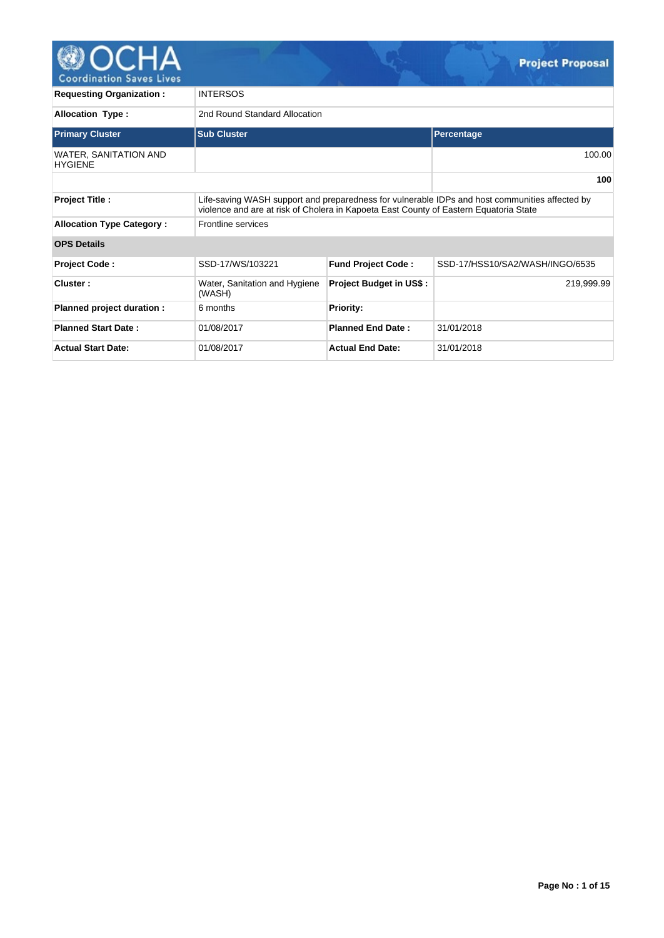

| <u>0001 8111 811 911 981 99 611 99</u>             |                                                                                       |                                |                                                                                                |  |  |  |  |  |  |  |
|----------------------------------------------------|---------------------------------------------------------------------------------------|--------------------------------|------------------------------------------------------------------------------------------------|--|--|--|--|--|--|--|
| <b>Requesting Organization:</b><br><b>INTERSOS</b> |                                                                                       |                                |                                                                                                |  |  |  |  |  |  |  |
| <b>Allocation Type:</b>                            | 2nd Round Standard Allocation                                                         |                                |                                                                                                |  |  |  |  |  |  |  |
| <b>Primary Cluster</b>                             | <b>Sub Cluster</b>                                                                    |                                | Percentage                                                                                     |  |  |  |  |  |  |  |
| WATER, SANITATION AND<br><b>HYGIENE</b>            |                                                                                       |                                | 100.00                                                                                         |  |  |  |  |  |  |  |
|                                                    |                                                                                       |                                | 100                                                                                            |  |  |  |  |  |  |  |
| <b>Project Title:</b>                              | violence and are at risk of Cholera in Kapoeta East County of Eastern Equatoria State |                                | Life-saving WASH support and preparedness for vulnerable IDPs and host communities affected by |  |  |  |  |  |  |  |
| <b>Allocation Type Category:</b>                   | Frontline services                                                                    |                                |                                                                                                |  |  |  |  |  |  |  |
| <b>OPS Details</b>                                 |                                                                                       |                                |                                                                                                |  |  |  |  |  |  |  |
| <b>Project Code:</b>                               | SSD-17/WS/103221                                                                      | <b>Fund Project Code:</b>      | SSD-17/HSS10/SA2/WASH/INGO/6535                                                                |  |  |  |  |  |  |  |
| Cluster:                                           | Water, Sanitation and Hygiene<br>(WASH)                                               | <b>Project Budget in US\$:</b> | 219,999.99                                                                                     |  |  |  |  |  |  |  |
| Planned project duration :                         | 6 months                                                                              | <b>Priority:</b>               |                                                                                                |  |  |  |  |  |  |  |
| <b>Planned Start Date:</b>                         | 01/08/2017                                                                            | <b>Planned End Date:</b>       | 31/01/2018                                                                                     |  |  |  |  |  |  |  |
| <b>Actual Start Date:</b>                          | 01/08/2017                                                                            | <b>Actual End Date:</b>        | 31/01/2018                                                                                     |  |  |  |  |  |  |  |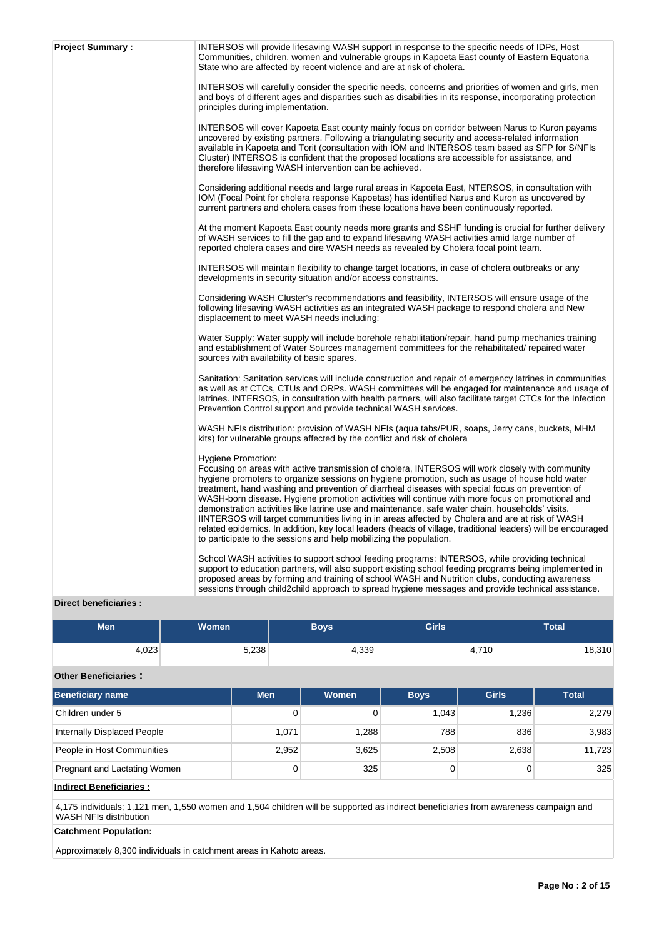| <b>Project Summary:</b> | INTERSOS will provide lifesaving WASH support in response to the specific needs of IDPs, Host<br>Communities, children, women and vulnerable groups in Kapoeta East county of Eastern Equatoria<br>State who are affected by recent violence and are at risk of cholera.                                                                                                                                                                                                                                                                                                                                                                                                                                                                                                                                                              |
|-------------------------|---------------------------------------------------------------------------------------------------------------------------------------------------------------------------------------------------------------------------------------------------------------------------------------------------------------------------------------------------------------------------------------------------------------------------------------------------------------------------------------------------------------------------------------------------------------------------------------------------------------------------------------------------------------------------------------------------------------------------------------------------------------------------------------------------------------------------------------|
|                         | INTERSOS will carefully consider the specific needs, concerns and priorities of women and girls, men<br>and boys of different ages and disparities such as disabilities in its response, incorporating protection<br>principles during implementation.                                                                                                                                                                                                                                                                                                                                                                                                                                                                                                                                                                                |
|                         | INTERSOS will cover Kapoeta East county mainly focus on corridor between Narus to Kuron payams<br>uncovered by existing partners. Following a triangulating security and access-related information<br>available in Kapoeta and Torit (consultation with IOM and INTERSOS team based as SFP for S/NFIs<br>Cluster) INTERSOS is confident that the proposed locations are accessible for assistance, and<br>therefore lifesaving WASH intervention can be achieved.                                                                                                                                                                                                                                                                                                                                                                    |
|                         | Considering additional needs and large rural areas in Kapoeta East, NTERSOS, in consultation with<br>IOM (Focal Point for cholera response Kapoetas) has identified Narus and Kuron as uncovered by<br>current partners and cholera cases from these locations have been continuously reported.                                                                                                                                                                                                                                                                                                                                                                                                                                                                                                                                       |
|                         | At the moment Kapoeta East county needs more grants and SSHF funding is crucial for further delivery<br>of WASH services to fill the gap and to expand lifesaving WASH activities amid large number of<br>reported cholera cases and dire WASH needs as revealed by Cholera focal point team.                                                                                                                                                                                                                                                                                                                                                                                                                                                                                                                                         |
|                         | INTERSOS will maintain flexibility to change target locations, in case of cholera outbreaks or any<br>developments in security situation and/or access constraints.                                                                                                                                                                                                                                                                                                                                                                                                                                                                                                                                                                                                                                                                   |
|                         | Considering WASH Cluster's recommendations and feasibility, INTERSOS will ensure usage of the<br>following lifesaving WASH activities as an integrated WASH package to respond cholera and New<br>displacement to meet WASH needs including:                                                                                                                                                                                                                                                                                                                                                                                                                                                                                                                                                                                          |
|                         | Water Supply: Water supply will include borehole rehabilitation/repair, hand pump mechanics training<br>and establishment of Water Sources management committees for the rehabilitated/ repaired water<br>sources with availability of basic spares.                                                                                                                                                                                                                                                                                                                                                                                                                                                                                                                                                                                  |
|                         | Sanitation: Sanitation services will include construction and repair of emergency latrines in communities<br>as well as at CTCs, CTUs and ORPs. WASH committees will be engaged for maintenance and usage of<br>latrines. INTERSOS, in consultation with health partners, will also facilitate target CTCs for the Infection<br>Prevention Control support and provide technical WASH services.                                                                                                                                                                                                                                                                                                                                                                                                                                       |
|                         | WASH NFIs distribution: provision of WASH NFIs (aqua tabs/PUR, soaps, Jerry cans, buckets, MHM<br>kits) for vulnerable groups affected by the conflict and risk of cholera                                                                                                                                                                                                                                                                                                                                                                                                                                                                                                                                                                                                                                                            |
|                         | <b>Hygiene Promotion:</b><br>Focusing on areas with active transmission of cholera, INTERSOS will work closely with community<br>hygiene promoters to organize sessions on hygiene promotion, such as usage of house hold water<br>treatment, hand washing and prevention of diarrheal diseases with special focus on prevention of<br>WASH-born disease. Hygiene promotion activities will continue with more focus on promotional and<br>demonstration activities like latrine use and maintenance, safe water chain, households' visits.<br>IINTERSOS will target communities living in in areas affected by Cholera and are at risk of WASH<br>related epidemics. In addition, key local leaders (heads of village, traditional leaders) will be encouraged<br>to participate to the sessions and help mobilizing the population. |
|                         | School WASH activities to support school feeding programs: INTERSOS, while providing technical<br>support to education partners, will also support existing school feeding programs being implemented in<br>proposed areas by forming and training of school WASH and Nutrition clubs, conducting awareness<br>sessions through child2child approach to spread hygiene messages and provide technical assistance.                                                                                                                                                                                                                                                                                                                                                                                                                     |

## **Direct beneficiaries :**

| Men   | Women | <b>Boys</b> | <b>Girls</b> | Total  |
|-------|-------|-------------|--------------|--------|
| 4,023 | 5,238 | 4,339       | 4,710        | 18,310 |

## **Other Beneficiaries :**

| <b>Beneficiary name</b>      | Men.  | <b>Women</b> | <b>Boys</b> | <b>Girls</b> | <b>Total</b> |
|------------------------------|-------|--------------|-------------|--------------|--------------|
| Children under 5             | 0     |              | 1.043       | 1.236        | 2,279        |
| Internally Displaced People  | 1,071 | 1,288        | 788         | 836          | 3,983        |
| People in Host Communities   | 2,952 | 3,625        | 2,508       | 2,638        | 11,723       |
| Pregnant and Lactating Women | 0     | 325          |             |              | 325          |
|                              |       |              |             |              |              |

## **Indirect Beneficiaries :**

4,175 individuals; 1,121 men, 1,550 women and 1,504 children will be supported as indirect beneficiaries from awareness campaign and WASH NFIs distribution

## **Catchment Population:**

Approximately 8,300 individuals in catchment areas in Kahoto areas.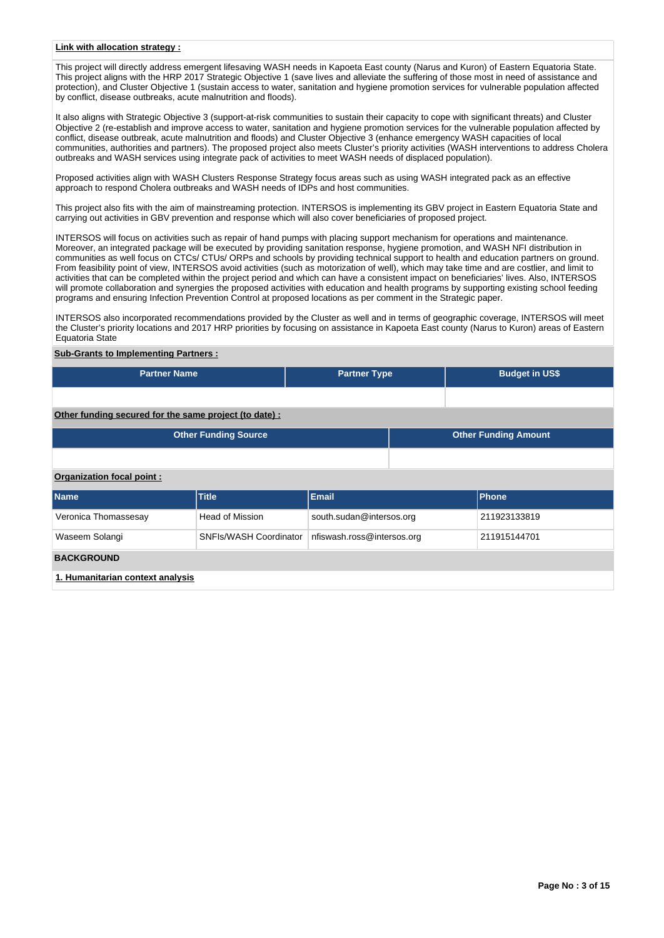## **Link with allocation strategy :**

This project will directly address emergent lifesaving WASH needs in Kapoeta East county (Narus and Kuron) of Eastern Equatoria State. This project aligns with the HRP 2017 Strategic Objective 1 (save lives and alleviate the suffering of those most in need of assistance and protection), and Cluster Objective 1 (sustain access to water, sanitation and hygiene promotion services for vulnerable population affected by conflict, disease outbreaks, acute malnutrition and floods).

It also aligns with Strategic Objective 3 (support-at-risk communities to sustain their capacity to cope with significant threats) and Cluster Objective 2 (re-establish and improve access to water, sanitation and hygiene promotion services for the vulnerable population affected by conflict, disease outbreak, acute malnutrition and floods) and Cluster Objective 3 (enhance emergency WASH capacities of local communities, authorities and partners). The proposed project also meets Cluster's priority activities (WASH interventions to address Cholera outbreaks and WASH services using integrate pack of activities to meet WASH needs of displaced population).

Proposed activities align with WASH Clusters Response Strategy focus areas such as using WASH integrated pack as an effective approach to respond Cholera outbreaks and WASH needs of IDPs and host communities.

This project also fits with the aim of mainstreaming protection. INTERSOS is implementing its GBV project in Eastern Equatoria State and carrying out activities in GBV prevention and response which will also cover beneficiaries of proposed project.

INTERSOS will focus on activities such as repair of hand pumps with placing support mechanism for operations and maintenance. Moreover, an integrated package will be executed by providing sanitation response, hygiene promotion, and WASH NFI distribution in communities as well focus on CTCs/ CTUs/ ORPs and schools by providing technical support to health and education partners on ground. From feasibility point of view, INTERSOS avoid activities (such as motorization of well), which may take time and are costlier, and limit to activities that can be completed within the project period and which can have a consistent impact on beneficiaries' lives. Also, INTERSOS will promote collaboration and synergies the proposed activities with education and health programs by supporting existing school feeding programs and ensuring Infection Prevention Control at proposed locations as per comment in the Strategic paper.

INTERSOS also incorporated recommendations provided by the Cluster as well and in terms of geographic coverage, INTERSOS will meet the Cluster's priority locations and 2017 HRP priorities by focusing on assistance in Kapoeta East county (Narus to Kuron) areas of Eastern Equatoria State

#### **Sub-Grants to Implementing Partners :**

| <b>Partner Name</b> | <b>Partner Type</b> | <b>Budget in US\$</b> |
|---------------------|---------------------|-----------------------|
|                     |                     |                       |

**Other funding secured for the same project (to date) :**

|                           | <b>Other Funding Source</b> | <b>Other Funding Amount</b> |  |              |  |  |  |  |  |
|---------------------------|-----------------------------|-----------------------------|--|--------------|--|--|--|--|--|
|                           |                             |                             |  |              |  |  |  |  |  |
| Organization focal point: |                             |                             |  |              |  |  |  |  |  |
| <b>Name</b>               | <b>Title</b>                | <b>Email</b>                |  | Phone        |  |  |  |  |  |
| Veronica Thomassesay      | <b>Head of Mission</b>      | south.sudan@intersos.org    |  | 211923133819 |  |  |  |  |  |
| Waseem Solangi            | SNFIs/WASH Coordinator      | nfiswash.ross@intersos.org  |  | 211915144701 |  |  |  |  |  |

#### **BACKGROUND**

**1. Humanitarian context analysis**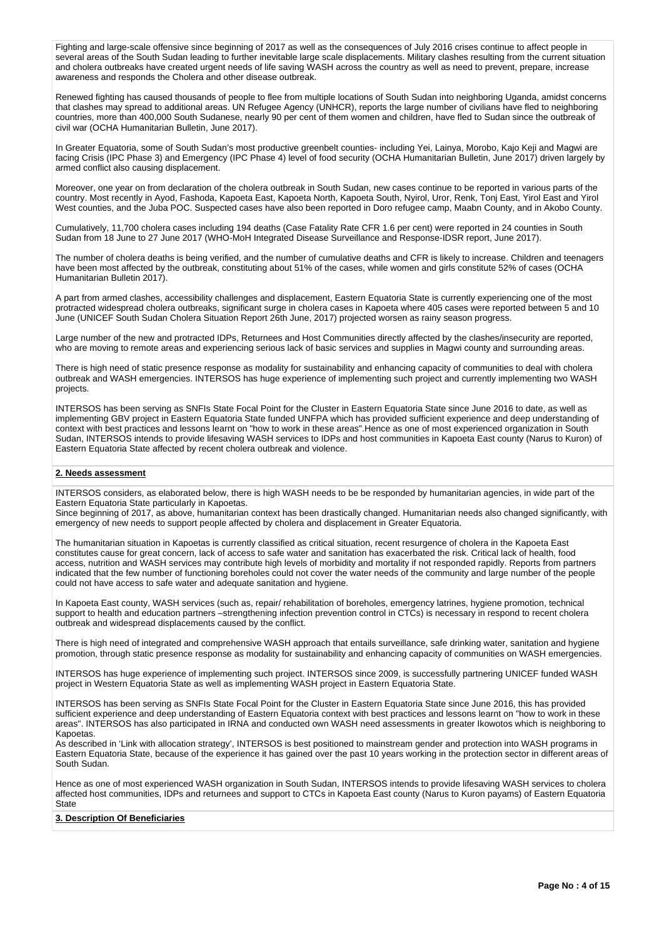Fighting and large-scale offensive since beginning of 2017 as well as the consequences of July 2016 crises continue to affect people in several areas of the South Sudan leading to further inevitable large scale displacements. Military clashes resulting from the current situation and cholera outbreaks have created urgent needs of life saving WASH across the country as well as need to prevent, prepare, increase awareness and responds the Cholera and other disease outbreak.

Renewed fighting has caused thousands of people to flee from multiple locations of South Sudan into neighboring Uganda, amidst concerns that clashes may spread to additional areas. UN Refugee Agency (UNHCR), reports the large number of civilians have fled to neighboring countries, more than 400,000 South Sudanese, nearly 90 per cent of them women and children, have fled to Sudan since the outbreak of civil war (OCHA Humanitarian Bulletin, June 2017).

In Greater Equatoria, some of South Sudan's most productive greenbelt counties- including Yei, Lainya, Morobo, Kajo Keji and Magwi are facing Crisis (IPC Phase 3) and Emergency (IPC Phase 4) level of food security (OCHA Humanitarian Bulletin, June 2017) driven largely by armed conflict also causing displacement.

Moreover, one year on from declaration of the cholera outbreak in South Sudan, new cases continue to be reported in various parts of the country. Most recently in Ayod, Fashoda, Kapoeta East, Kapoeta North, Kapoeta South, Nyirol, Uror, Renk, Tonj East, Yirol East and Yirol West counties, and the Juba POC. Suspected cases have also been reported in Doro refugee camp, Maabn County, and in Akobo County.

Cumulatively, 11,700 cholera cases including 194 deaths (Case Fatality Rate CFR 1.6 per cent) were reported in 24 counties in South Sudan from 18 June to 27 June 2017 (WHO-MoH Integrated Disease Surveillance and Response-IDSR report, June 2017).

The number of cholera deaths is being verified, and the number of cumulative deaths and CFR is likely to increase. Children and teenagers have been most affected by the outbreak, constituting about 51% of the cases, while women and girls constitute 52% of cases (OCHA Humanitarian Bulletin 2017).

A part from armed clashes, accessibility challenges and displacement, Eastern Equatoria State is currently experiencing one of the most protracted widespread cholera outbreaks, significant surge in cholera cases in Kapoeta where 405 cases were reported between 5 and 10 June (UNICEF South Sudan Cholera Situation Report 26th June, 2017) projected worsen as rainy season progress.

Large number of the new and protracted IDPs, Returnees and Host Communities directly affected by the clashes/insecurity are reported. who are moving to remote areas and experiencing serious lack of basic services and supplies in Magwi county and surrounding areas.

There is high need of static presence response as modality for sustainability and enhancing capacity of communities to deal with cholera outbreak and WASH emergencies. INTERSOS has huge experience of implementing such project and currently implementing two WASH projects.

INTERSOS has been serving as SNFIs State Focal Point for the Cluster in Eastern Equatoria State since June 2016 to date, as well as implementing GBV project in Eastern Equatoria State funded UNFPA which has provided sufficient experience and deep understanding of context with best practices and lessons learnt on "how to work in these areas".Hence as one of most experienced organization in South Sudan, INTERSOS intends to provide lifesaving WASH services to IDPs and host communities in Kapoeta East county (Narus to Kuron) of Eastern Equatoria State affected by recent cholera outbreak and violence.

## **2. Needs assessment**

INTERSOS considers, as elaborated below, there is high WASH needs to be be responded by humanitarian agencies, in wide part of the Eastern Equatoria State particularly in Kapoetas.

Since beginning of 2017, as above, humanitarian context has been drastically changed. Humanitarian needs also changed significantly, with emergency of new needs to support people affected by cholera and displacement in Greater Equatoria.

The humanitarian situation in Kapoetas is currently classified as critical situation, recent resurgence of cholera in the Kapoeta East constitutes cause for great concern, lack of access to safe water and sanitation has exacerbated the risk. Critical lack of health, food access, nutrition and WASH services may contribute high levels of morbidity and mortality if not responded rapidly. Reports from partners indicated that the few number of functioning boreholes could not cover the water needs of the community and large number of the people could not have access to safe water and adequate sanitation and hygiene.

In Kapoeta East county, WASH services (such as, repair/ rehabilitation of boreholes, emergency latrines, hygiene promotion, technical support to health and education partners –strengthening infection prevention control in CTCs) is necessary in respond to recent cholera outbreak and widespread displacements caused by the conflict.

There is high need of integrated and comprehensive WASH approach that entails surveillance, safe drinking water, sanitation and hygiene promotion, through static presence response as modality for sustainability and enhancing capacity of communities on WASH emergencies.

INTERSOS has huge experience of implementing such project. INTERSOS since 2009, is successfully partnering UNICEF funded WASH project in Western Equatoria State as well as implementing WASH project in Eastern Equatoria State.

INTERSOS has been serving as SNFIs State Focal Point for the Cluster in Eastern Equatoria State since June 2016, this has provided sufficient experience and deep understanding of Eastern Equatoria context with best practices and lessons learnt on "how to work in these areas". INTERSOS has also participated in IRNA and conducted own WASH need assessments in greater Ikowotos which is neighboring to Kapoetas.

As described in 'Link with allocation strategy', INTERSOS is best positioned to mainstream gender and protection into WASH programs in Eastern Equatoria State, because of the experience it has gained over the past 10 years working in the protection sector in different areas of South Sudan.

Hence as one of most experienced WASH organization in South Sudan, INTERSOS intends to provide lifesaving WASH services to cholera affected host communities, IDPs and returnees and support to CTCs in Kapoeta East county (Narus to Kuron payams) of Eastern Equatoria **State** 

#### **3. Description Of Beneficiaries**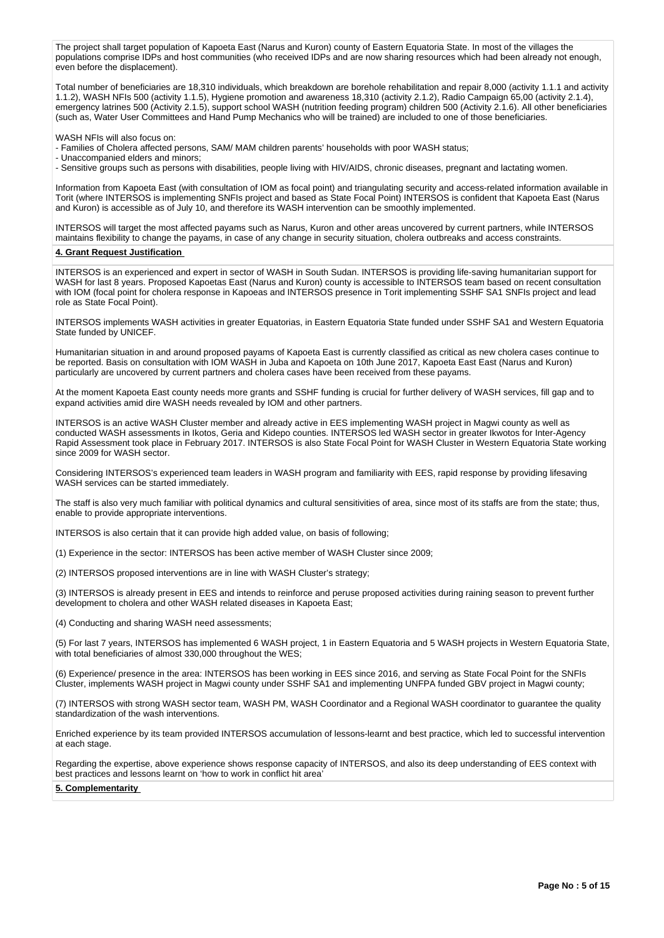The project shall target population of Kapoeta East (Narus and Kuron) county of Eastern Equatoria State. In most of the villages the populations comprise IDPs and host communities (who received IDPs and are now sharing resources which had been already not enough, even before the displacement).

Total number of beneficiaries are 18,310 individuals, which breakdown are borehole rehabilitation and repair 8,000 (activity 1.1.1 and activity 1.1.2), WASH NFIs 500 (activity 1.1.5), Hygiene promotion and awareness 18,310 (activity 2.1.2), Radio Campaign 65,00 (activity 2.1.4), emergency latrines 500 (Activity 2.1.5), support school WASH (nutrition feeding program) children 500 (Activity 2.1.6). All other beneficiaries (such as, Water User Committees and Hand Pump Mechanics who will be trained) are included to one of those beneficiaries.

WASH NFIs will also focus on:

- Families of Cholera affected persons, SAM/ MAM children parents' households with poor WASH status;

- Unaccompanied elders and minors;

- Sensitive groups such as persons with disabilities, people living with HIV/AIDS, chronic diseases, pregnant and lactating women.

Information from Kapoeta East (with consultation of IOM as focal point) and triangulating security and access-related information available in Torit (where INTERSOS is implementing SNFIs project and based as State Focal Point) INTERSOS is confident that Kapoeta East (Narus and Kuron) is accessible as of July 10, and therefore its WASH intervention can be smoothly implemented.

INTERSOS will target the most affected payams such as Narus, Kuron and other areas uncovered by current partners, while INTERSOS maintains flexibility to change the payams, in case of any change in security situation, cholera outbreaks and access constraints.

#### **4. Grant Request Justification**

INTERSOS is an experienced and expert in sector of WASH in South Sudan. INTERSOS is providing life-saving humanitarian support for WASH for last 8 years. Proposed Kapoetas East (Narus and Kuron) county is accessible to INTERSOS team based on recent consultation with IOM (focal point for cholera response in Kapoeas and INTERSOS presence in Torit implementing SSHF SA1 SNFIs project and lead role as State Focal Point).

INTERSOS implements WASH activities in greater Equatorias, in Eastern Equatoria State funded under SSHF SA1 and Western Equatoria State funded by UNICEF.

Humanitarian situation in and around proposed payams of Kapoeta East is currently classified as critical as new cholera cases continue to be reported. Basis on consultation with IOM WASH in Juba and Kapoeta on 10th June 2017, Kapoeta East East (Narus and Kuron) particularly are uncovered by current partners and cholera cases have been received from these payams.

At the moment Kapoeta East county needs more grants and SSHF funding is crucial for further delivery of WASH services, fill gap and to expand activities amid dire WASH needs revealed by IOM and other partners.

INTERSOS is an active WASH Cluster member and already active in EES implementing WASH project in Magwi county as well as conducted WASH assessments in Ikotos, Geria and Kidepo counties. INTERSOS led WASH sector in greater Ikwotos for Inter-Agency Rapid Assessment took place in February 2017. INTERSOS is also State Focal Point for WASH Cluster in Western Equatoria State working since 2009 for WASH sector.

Considering INTERSOS's experienced team leaders in WASH program and familiarity with EES, rapid response by providing lifesaving WASH services can be started immediately.

The staff is also very much familiar with political dynamics and cultural sensitivities of area, since most of its staffs are from the state; thus, enable to provide appropriate interventions.

INTERSOS is also certain that it can provide high added value, on basis of following;

(1) Experience in the sector: INTERSOS has been active member of WASH Cluster since 2009;

(2) INTERSOS proposed interventions are in line with WASH Cluster's strategy;

(3) INTERSOS is already present in EES and intends to reinforce and peruse proposed activities during raining season to prevent further development to cholera and other WASH related diseases in Kapoeta East;

(4) Conducting and sharing WASH need assessments;

(5) For last 7 years, INTERSOS has implemented 6 WASH project, 1 in Eastern Equatoria and 5 WASH projects in Western Equatoria State, with total beneficiaries of almost 330,000 throughout the WES;

(6) Experience/ presence in the area: INTERSOS has been working in EES since 2016, and serving as State Focal Point for the SNFIs Cluster, implements WASH project in Magwi county under SSHF SA1 and implementing UNFPA funded GBV project in Magwi county;

(7) INTERSOS with strong WASH sector team, WASH PM, WASH Coordinator and a Regional WASH coordinator to guarantee the quality standardization of the wash interventions.

Enriched experience by its team provided INTERSOS accumulation of lessons-learnt and best practice, which led to successful intervention at each stage.

Regarding the expertise, above experience shows response capacity of INTERSOS, and also its deep understanding of EES context with best practices and lessons learnt on 'how to work in conflict hit area'

#### **5. Complementarity**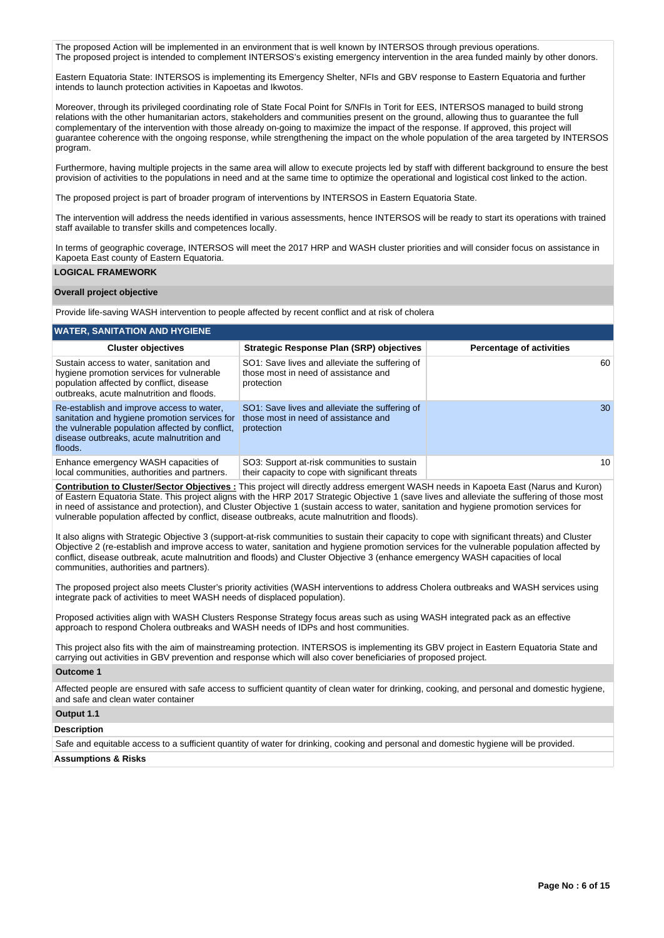The proposed Action will be implemented in an environment that is well known by INTERSOS through previous operations. The proposed project is intended to complement INTERSOS's existing emergency intervention in the area funded mainly by other donors.

Eastern Equatoria State: INTERSOS is implementing its Emergency Shelter, NFIs and GBV response to Eastern Equatoria and further intends to launch protection activities in Kapoetas and Ikwotos.

Moreover, through its privileged coordinating role of State Focal Point for S/NFIs in Torit for EES, INTERSOS managed to build strong relations with the other humanitarian actors, stakeholders and communities present on the ground, allowing thus to guarantee the full complementary of the intervention with those already on-going to maximize the impact of the response. If approved, this project will guarantee coherence with the ongoing response, while strengthening the impact on the whole population of the area targeted by INTERSOS program.

Furthermore, having multiple projects in the same area will allow to execute projects led by staff with different background to ensure the best provision of activities to the populations in need and at the same time to optimize the operational and logistical cost linked to the action.

The proposed project is part of broader program of interventions by INTERSOS in Eastern Equatoria State.

The intervention will address the needs identified in various assessments, hence INTERSOS will be ready to start its operations with trained staff available to transfer skills and competences locally.

In terms of geographic coverage, INTERSOS will meet the 2017 HRP and WASH cluster priorities and will consider focus on assistance in Kapoeta East county of Eastern Equatoria.

## **LOGICAL FRAMEWORK**

#### **Overall project objective**

Provide life-saving WASH intervention to people affected by recent conflict and at risk of cholera

| <b>WATER, SANITATION AND HYGIENE</b>                                                                                                                                                                  |                                                                                                      |                                 |  |  |  |  |  |  |
|-------------------------------------------------------------------------------------------------------------------------------------------------------------------------------------------------------|------------------------------------------------------------------------------------------------------|---------------------------------|--|--|--|--|--|--|
| <b>Cluster objectives</b>                                                                                                                                                                             | Strategic Response Plan (SRP) objectives                                                             | <b>Percentage of activities</b> |  |  |  |  |  |  |
| Sustain access to water, sanitation and<br>hygiene promotion services for vulnerable<br>population affected by conflict, disease<br>outbreaks, acute malnutrition and floods.                         | SO1: Save lives and alleviate the suffering of<br>those most in need of assistance and<br>protection | 60                              |  |  |  |  |  |  |
| Re-establish and improve access to water.<br>sanitation and hygiene promotion services for<br>the vulnerable population affected by conflict,<br>disease outbreaks, acute malnutrition and<br>floods. | SO1: Save lives and alleviate the suffering of<br>those most in need of assistance and<br>protection | 30                              |  |  |  |  |  |  |
| Enhance emergency WASH capacities of<br>local communities, authorities and partners.                                                                                                                  | SO3: Support at-risk communities to sustain<br>their capacity to cope with significant threats       | 10                              |  |  |  |  |  |  |

**Contribution to Cluster/Sector Objectives :** This project will directly address emergent WASH needs in Kapoeta East (Narus and Kuron) of Eastern Equatoria State. This project aligns with the HRP 2017 Strategic Objective 1 (save lives and alleviate the suffering of those most in need of assistance and protection), and Cluster Objective 1 (sustain access to water, sanitation and hygiene promotion services for vulnerable population affected by conflict, disease outbreaks, acute malnutrition and floods).

It also aligns with Strategic Objective 3 (support-at-risk communities to sustain their capacity to cope with significant threats) and Cluster Objective 2 (re-establish and improve access to water, sanitation and hygiene promotion services for the vulnerable population affected by conflict, disease outbreak, acute malnutrition and floods) and Cluster Objective 3 (enhance emergency WASH capacities of local communities, authorities and partners).

The proposed project also meets Cluster's priority activities (WASH interventions to address Cholera outbreaks and WASH services using integrate pack of activities to meet WASH needs of displaced population).

Proposed activities align with WASH Clusters Response Strategy focus areas such as using WASH integrated pack as an effective approach to respond Cholera outbreaks and WASH needs of IDPs and host communities.

This project also fits with the aim of mainstreaming protection. INTERSOS is implementing its GBV project in Eastern Equatoria State and carrying out activities in GBV prevention and response which will also cover beneficiaries of proposed project.

#### **Outcome 1**

Affected people are ensured with safe access to sufficient quantity of clean water for drinking, cooking, and personal and domestic hygiene, and safe and clean water container

## **Output 1.1**

**Description**

Safe and equitable access to a sufficient quantity of water for drinking, cooking and personal and domestic hygiene will be provided.

#### **Assumptions & Risks**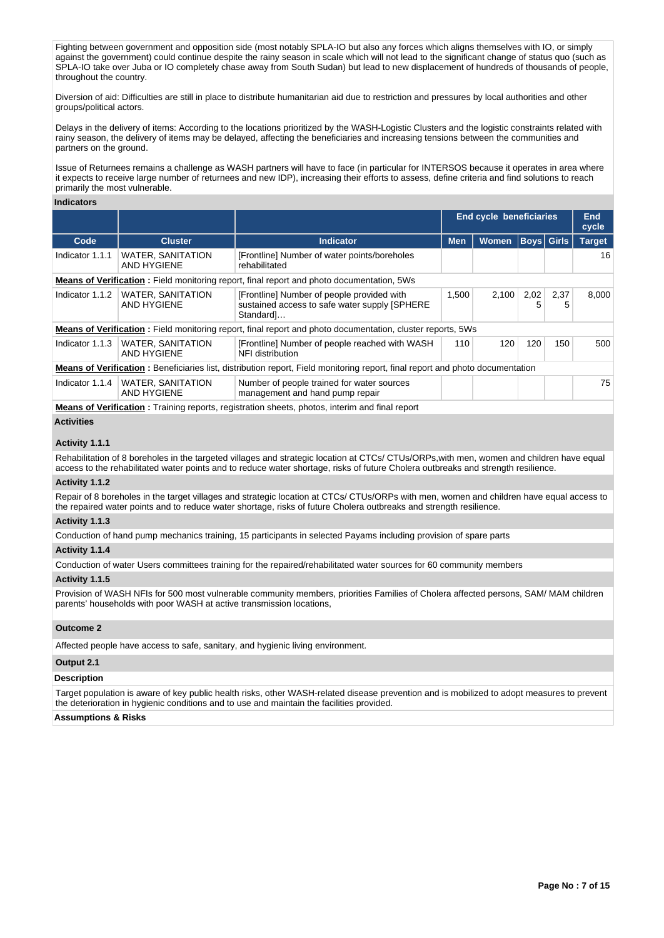Fighting between government and opposition side (most notably SPLA-IO but also any forces which aligns themselves with IO, or simply against the government) could continue despite the rainy season in scale which will not lead to the significant change of status quo (such as SPLA-IO take over Juba or IO completely chase away from South Sudan) but lead to new displacement of hundreds of thousands of people, throughout the country.

Diversion of aid: Difficulties are still in place to distribute humanitarian aid due to restriction and pressures by local authorities and other groups/political actors.

Delays in the delivery of items: According to the locations prioritized by the WASH-Logistic Clusters and the logistic constraints related with rainy season, the delivery of items may be delayed, affecting the beneficiaries and increasing tensions between the communities and partners on the ground.

Issue of Returnees remains a challenge as WASH partners will have to face (in particular for INTERSOS because it operates in area where it expects to receive large number of returnees and new IDP), increasing their efforts to assess, define criteria and find solutions to reach primarily the most vulnerable.

#### **Indicators**

|                 |                                                                                                                                       |                                                                                                                   | <b>End cycle beneficiaries</b> |              |           |                   | <b>End</b><br>cycle |  |  |
|-----------------|---------------------------------------------------------------------------------------------------------------------------------------|-------------------------------------------------------------------------------------------------------------------|--------------------------------|--------------|-----------|-------------------|---------------------|--|--|
| Code            | <b>Cluster</b>                                                                                                                        | <b>Indicator</b>                                                                                                  | <b>Men</b>                     | <b>Women</b> |           | <b>Boys</b> Girls | <b>Target</b>       |  |  |
| Indicator 1.1.1 | <b>WATER, SANITATION</b><br>AND HYGIENE                                                                                               | [Frontline] Number of water points/boreholes<br>rehabilitated                                                     |                                |              |           |                   | 16                  |  |  |
|                 | <b>Means of Verification</b> : Field monitoring report, final report and photo documentation, 5Ws                                     |                                                                                                                   |                                |              |           |                   |                     |  |  |
| Indicator 1.1.2 | <b>WATER, SANITATION</b><br><b>AND HYGIENE</b>                                                                                        | 1,500<br>[Frontline] Number of people provided with<br>sustained access to safe water supply [SPHERE<br>Standard] |                                | 2,100        | 2,02<br>5 | 2,37<br>5         | 8.000               |  |  |
|                 |                                                                                                                                       | <b>Means of Verification:</b> Field monitoring report, final report and photo documentation, cluster reports, 5Ws |                                |              |           |                   |                     |  |  |
| Indicator 1.1.3 | <b>WATER, SANITATION</b><br>AND HYGIENE                                                                                               | [Frontline] Number of people reached with WASH<br>NFI distribution                                                |                                | 120          | 120       | 150               | 500                 |  |  |
|                 | <b>Means of Verification</b> : Beneficiaries list, distribution report, Field monitoring report, final report and photo documentation |                                                                                                                   |                                |              |           |                   |                     |  |  |
| Indicator 1.1.4 | <b>WATER, SANITATION</b><br>AND HYGIENE                                                                                               | Number of people trained for water sources<br>management and hand pump repair                                     |                                |              |           |                   | 75                  |  |  |

**Means of Verification :** Training reports, registration sheets, photos, interim and final report

#### **Activities**

#### **Activity 1.1.1**

Rehabilitation of 8 boreholes in the targeted villages and strategic location at CTCs/ CTUs/ORPs,with men, women and children have equal access to the rehabilitated water points and to reduce water shortage, risks of future Cholera outbreaks and strength resilience.

#### **Activity 1.1.2**

Repair of 8 boreholes in the target villages and strategic location at CTCs/ CTUs/ORPs with men, women and children have equal access to the repaired water points and to reduce water shortage, risks of future Cholera outbreaks and strength resilience.

#### **Activity 1.1.3**

Conduction of hand pump mechanics training, 15 participants in selected Payams including provision of spare parts

#### **Activity 1.1.4**

Conduction of water Users committees training for the repaired/rehabilitated water sources for 60 community members

## **Activity 1.1.5**

Provision of WASH NFIs for 500 most vulnerable community members, priorities Families of Cholera affected persons, SAM/ MAM children parents' households with poor WASH at active transmission locations,

#### **Outcome 2**

Affected people have access to safe, sanitary, and hygienic living environment.

# **Output 2.1**

## **Description**

Target population is aware of key public health risks, other WASH-related disease prevention and is mobilized to adopt measures to prevent the deterioration in hygienic conditions and to use and maintain the facilities provided.

#### **Assumptions & Risks**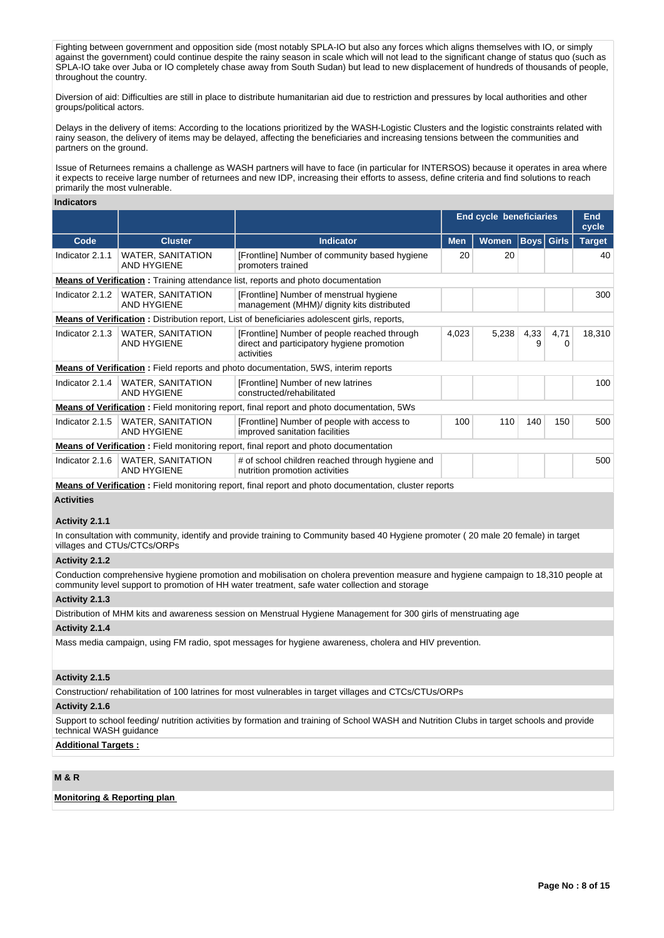Fighting between government and opposition side (most notably SPLA-IO but also any forces which aligns themselves with IO, or simply against the government) could continue despite the rainy season in scale which will not lead to the significant change of status quo (such as SPLA-IO take over Juba or IO completely chase away from South Sudan) but lead to new displacement of hundreds of thousands of people, throughout the country.

Diversion of aid: Difficulties are still in place to distribute humanitarian aid due to restriction and pressures by local authorities and other groups/political actors.

Delays in the delivery of items: According to the locations prioritized by the WASH-Logistic Clusters and the logistic constraints related with rainy season, the delivery of items may be delayed, affecting the beneficiaries and increasing tensions between the communities and partners on the ground.

Issue of Returnees remains a challenge as WASH partners will have to face (in particular for INTERSOS) because it operates in area where it expects to receive large number of returnees and new IDP, increasing their efforts to assess, define criteria and find solutions to reach primarily the most vulnerable.

#### **Indicators**

|                 |                                                                                                                                  |                                                                                                                   | End cycle beneficiaries |              |                   |           | <b>End</b><br>cycle |  |
|-----------------|----------------------------------------------------------------------------------------------------------------------------------|-------------------------------------------------------------------------------------------------------------------|-------------------------|--------------|-------------------|-----------|---------------------|--|
| Code            | <b>Cluster</b>                                                                                                                   | <b>Indicator</b>                                                                                                  | <b>Men</b>              | <b>Women</b> | <b>Boys Girls</b> |           | <b>Target</b>       |  |
| Indicator 2.1.1 | <b>WATER, SANITATION</b><br><b>AND HYGIENE</b>                                                                                   | [Frontline] Number of community based hygiene<br>promoters trained                                                | 20                      | 20           |                   |           | 40                  |  |
|                 |                                                                                                                                  | <b>Means of Verification:</b> Training attendance list, reports and photo documentation                           |                         |              |                   |           |                     |  |
| Indicator 2.1.2 | <b>WATER, SANITATION</b><br>[Frontline] Number of menstrual hygiene<br>AND HYGIENE<br>management (MHM)/ dignity kits distributed |                                                                                                                   |                         |              |                   |           | 300                 |  |
|                 |                                                                                                                                  | <b>Means of Verification:</b> Distribution report, List of beneficiaries adolescent girls, reports,               |                         |              |                   |           |                     |  |
| Indicator 2.1.3 | <b>WATER, SANITATION</b><br><b>AND HYGIENE</b>                                                                                   | [Frontline] Number of people reached through<br>4,023<br>direct and participatory hygiene promotion<br>activities |                         | 5,238        | 4,33<br>9         | 4,71<br>0 | 18,310              |  |
|                 |                                                                                                                                  | <b>Means of Verification</b> : Field reports and photo documentation, 5WS, interim reports                        |                         |              |                   |           |                     |  |
| Indicator 2.1.4 | <b>WATER, SANITATION</b><br>AND HYGIENE                                                                                          | [Frontline] Number of new latrines<br>constructed/rehabilitated                                                   |                         |              |                   |           | 100                 |  |
|                 |                                                                                                                                  | <b>Means of Verification</b> : Field monitoring report, final report and photo documentation, 5Ws                 |                         |              |                   |           |                     |  |
| Indicator 2.1.5 | <b>WATER, SANITATION</b><br>[Frontline] Number of people with access to<br><b>AND HYGIENE</b><br>improved sanitation facilities  |                                                                                                                   | 100                     | 110          | 140               | 150       | 500                 |  |
|                 |                                                                                                                                  | <b>Means of Verification:</b> Field monitoring report, final report and photo documentation                       |                         |              |                   |           |                     |  |
| Indicator 2.1.6 | <b>WATER, SANITATION</b><br><b>AND HYGIENE</b>                                                                                   | # of school children reached through hygiene and<br>nutrition promotion activities                                |                         |              |                   |           | 500                 |  |
|                 |                                                                                                                                  |                                                                                                                   |                         |              |                   |           |                     |  |

**Means of Verification :** Field monitoring report, final report and photo documentation, cluster reports

#### **Activities**

### **Activity 2.1.1**

In consultation with community, identify and provide training to Community based 40 Hygiene promoter ( 20 male 20 female) in target villages and CTUs/CTCs/ORPs

## **Activity 2.1.2**

Conduction comprehensive hygiene promotion and mobilisation on cholera prevention measure and hygiene campaign to 18,310 people at community level support to promotion of HH water treatment, safe water collection and storage

#### **Activity 2.1.3**

Distribution of MHM kits and awareness session on Menstrual Hygiene Management for 300 girls of menstruating age

## **Activity 2.1.4**

Mass media campaign, using FM radio, spot messages for hygiene awareness, cholera and HIV prevention.

### **Activity 2.1.5**

Construction/ rehabilitation of 100 latrines for most vulnerables in target villages and CTCs/CTUs/ORPs

### **Activity 2.1.6**

Support to school feeding/ nutrition activities by formation and training of School WASH and Nutrition Clubs in target schools and provide technical WASH guidance

## **Additional Targets :**

## **M & R**

## **Monitoring & Reporting plan**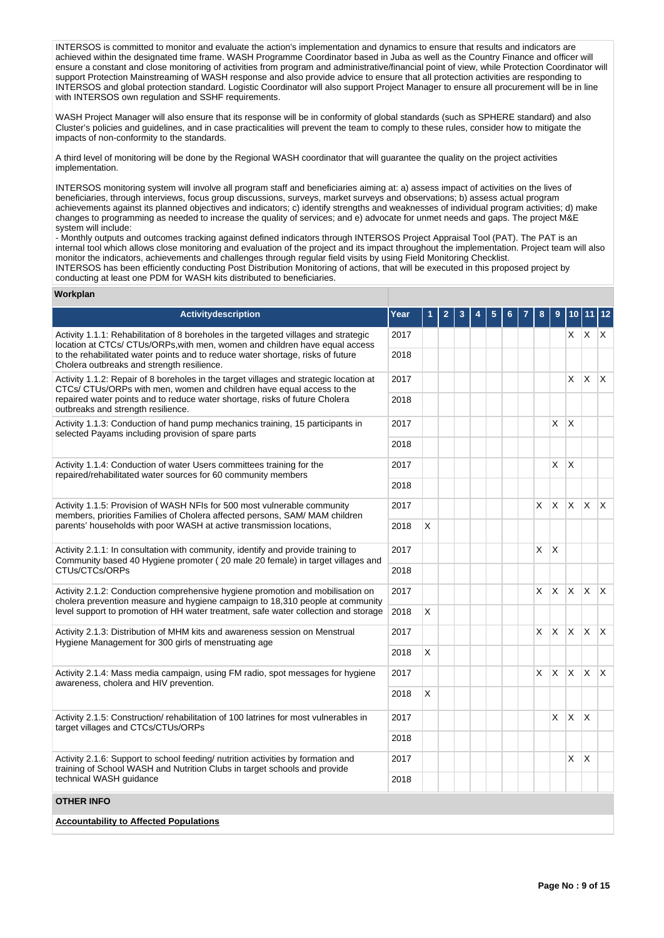INTERSOS is committed to monitor and evaluate the action's implementation and dynamics to ensure that results and indicators are achieved within the designated time frame. WASH Programme Coordinator based in Juba as well as the Country Finance and officer will ensure a constant and close monitoring of activities from program and administrative/financial point of view, while Protection Coordinator will support Protection Mainstreaming of WASH response and also provide advice to ensure that all protection activities are responding to INTERSOS and global protection standard. Logistic Coordinator will also support Project Manager to ensure all procurement will be in line with INTERSOS own regulation and SSHF requirements.

WASH Project Manager will also ensure that its response will be in conformity of global standards (such as SPHERE standard) and also Cluster's policies and guidelines, and in case practicalities will prevent the team to comply to these rules, consider how to mitigate the impacts of non-conformity to the standards.

A third level of monitoring will be done by the Regional WASH coordinator that will guarantee the quality on the project activities implementation.

INTERSOS monitoring system will involve all program staff and beneficiaries aiming at: a) assess impact of activities on the lives of beneficiaries, through interviews, focus group discussions, surveys, market surveys and observations; b) assess actual program achievements against its planned objectives and indicators; c) identify strengths and weaknesses of individual program activities; d) make changes to programming as needed to increase the quality of services; and e) advocate for unmet needs and gaps. The project M&E system will include:

- Monthly outputs and outcomes tracking against defined indicators through INTERSOS Project Appraisal Tool (PAT). The PAT is an internal tool which allows close monitoring and evaluation of the project and its impact throughout the implementation. Project team will also monitor the indicators, achievements and challenges through regular field visits by using Field Monitoring Checklist. INTERSOS has been efficiently conducting Post Distribution Monitoring of actions, that will be executed in this proposed project by

conducting at least one PDM for WASH kits distributed to beneficiaries.

#### **Workplan**

| Activitydescription                                                                                                                                                                                                                                                                                                  | Year |   |  |  |  |   |          | 10                      | 11                      | $12$                   |
|----------------------------------------------------------------------------------------------------------------------------------------------------------------------------------------------------------------------------------------------------------------------------------------------------------------------|------|---|--|--|--|---|----------|-------------------------|-------------------------|------------------------|
| Activity 1.1.1: Rehabilitation of 8 boreholes in the targeted villages and strategic<br>2017<br>location at CTCs/ CTUs/ORPs, with men, women and children have equal access<br>to the rehabilitated water points and to reduce water shortage, risks of future<br>2018<br>Cholera outbreaks and strength resilience. |      |   |  |  |  |   |          | X.                      | X.                      | $\mathsf{X}$           |
|                                                                                                                                                                                                                                                                                                                      |      |   |  |  |  |   |          |                         |                         |                        |
| Activity 1.1.2: Repair of 8 boreholes in the target villages and strategic location at<br>2017<br>CTCs/ CTUs/ORPs with men, women and children have equal access to the                                                                                                                                              |      |   |  |  |  |   |          | X                       | X                       | <sup>X</sup>           |
| repaired water points and to reduce water shortage, risks of future Cholera<br>2018<br>outbreaks and strength resilience.                                                                                                                                                                                            |      |   |  |  |  |   |          |                         |                         |                        |
| Activity 1.1.3: Conduction of hand pump mechanics training, 15 participants in<br>selected Payams including provision of spare parts                                                                                                                                                                                 |      |   |  |  |  |   | X.       | X                       |                         |                        |
|                                                                                                                                                                                                                                                                                                                      |      |   |  |  |  |   |          |                         |                         |                        |
| Activity 1.1.4: Conduction of water Users committees training for the<br>repaired/rehabilitated water sources for 60 community members                                                                                                                                                                               |      |   |  |  |  |   | X.       | $\overline{\mathsf{x}}$ |                         |                        |
|                                                                                                                                                                                                                                                                                                                      |      |   |  |  |  |   |          |                         |                         |                        |
| Activity 1.1.5: Provision of WASH NFIs for 500 most vulnerable community<br>members, priorities Families of Cholera affected persons, SAM/ MAM children<br>parents' households with poor WASH at active transmission locations,                                                                                      | 2017 |   |  |  |  | X | X.       | $\times$                | <b>X</b>                | $\mathsf{X}$           |
|                                                                                                                                                                                                                                                                                                                      | 2018 | X |  |  |  |   |          |                         |                         |                        |
| Activity 2.1.1: In consultation with community, identify and provide training to<br>Community based 40 Hygiene promoter (20 male 20 female) in target villages and                                                                                                                                                   |      |   |  |  |  | X | X        |                         |                         |                        |
| CTUs/CTCs/ORPs                                                                                                                                                                                                                                                                                                       | 2018 |   |  |  |  |   |          |                         |                         |                        |
| Activity 2.1.2: Conduction comprehensive hygiene promotion and mobilisation on<br>cholera prevention measure and hygiene campaign to 18,310 people at community                                                                                                                                                      |      |   |  |  |  | X | X        | <b>X</b>                | ΙX.                     | $\mathsf{X}$           |
| level support to promotion of HH water treatment, safe water collection and storage                                                                                                                                                                                                                                  | 2018 | X |  |  |  |   |          |                         |                         |                        |
| Activity 2.1.3: Distribution of MHM kits and awareness session on Menstrual<br>Hygiene Management for 300 girls of menstruating age                                                                                                                                                                                  | 2017 |   |  |  |  | X | ΙX.      | $\times$                | <b>X</b>                | $\mathsf{X}$           |
|                                                                                                                                                                                                                                                                                                                      | 2018 | X |  |  |  |   |          |                         |                         |                        |
| Activity 2.1.4: Mass media campaign, using FM radio, spot messages for hygiene<br>awareness, cholera and HIV prevention.                                                                                                                                                                                             | 2017 |   |  |  |  | X | $\times$ | $\mathsf{x}$            | <b>X</b>                | $\mathsf{I}\mathsf{X}$ |
|                                                                                                                                                                                                                                                                                                                      | 2018 | X |  |  |  |   |          |                         |                         |                        |
| Activity 2.1.5: Construction/ rehabilitation of 100 latrines for most vulnerables in<br>target villages and CTCs/CTUs/ORPs                                                                                                                                                                                           | 2017 |   |  |  |  |   | X.       | $\times$                | $\overline{\mathsf{x}}$ |                        |
|                                                                                                                                                                                                                                                                                                                      | 2018 |   |  |  |  |   |          |                         |                         |                        |
| Activity 2.1.6: Support to school feeding/ nutrition activities by formation and<br>training of School WASH and Nutrition Clubs in target schools and provide<br>technical WASH guidance                                                                                                                             |      |   |  |  |  |   |          | X                       | X                       |                        |
|                                                                                                                                                                                                                                                                                                                      |      |   |  |  |  |   |          |                         |                         |                        |
| OTHER INFO                                                                                                                                                                                                                                                                                                           |      |   |  |  |  |   |          |                         |                         |                        |
| <b>Accountability to Affected Populations</b>                                                                                                                                                                                                                                                                        |      |   |  |  |  |   |          |                         |                         |                        |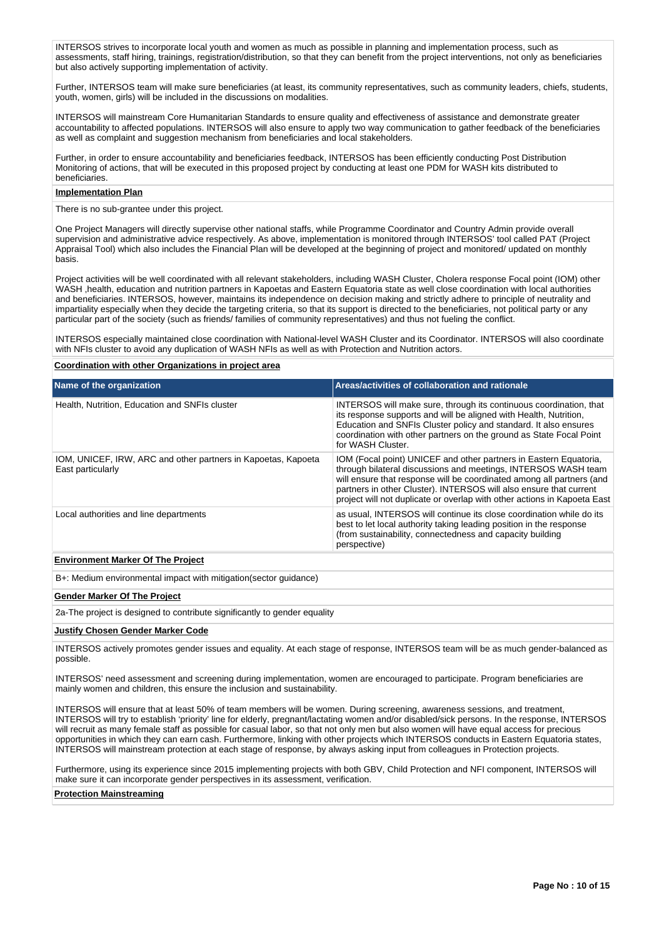INTERSOS strives to incorporate local youth and women as much as possible in planning and implementation process, such as assessments, staff hiring, trainings, registration/distribution, so that they can benefit from the project interventions, not only as beneficiaries but also actively supporting implementation of activity.

Further, INTERSOS team will make sure beneficiaries (at least, its community representatives, such as community leaders, chiefs, students, youth, women, girls) will be included in the discussions on modalities.

INTERSOS will mainstream Core Humanitarian Standards to ensure quality and effectiveness of assistance and demonstrate greater accountability to affected populations. INTERSOS will also ensure to apply two way communication to gather feedback of the beneficiaries as well as complaint and suggestion mechanism from beneficiaries and local stakeholders.

Further, in order to ensure accountability and beneficiaries feedback, INTERSOS has been efficiently conducting Post Distribution Monitoring of actions, that will be executed in this proposed project by conducting at least one PDM for WASH kits distributed to beneficiaries.

#### **Implementation Plan**

There is no sub-grantee under this project.

One Project Managers will directly supervise other national staffs, while Programme Coordinator and Country Admin provide overall supervision and administrative advice respectively. As above, implementation is monitored through INTERSOS' tool called PAT (Project Appraisal Tool) which also includes the Financial Plan will be developed at the beginning of project and monitored/ updated on monthly basis.

Project activities will be well coordinated with all relevant stakeholders, including WASH Cluster, Cholera response Focal point (IOM) other WASH ,health, education and nutrition partners in Kapoetas and Eastern Equatoria state as well close coordination with local authorities and beneficiaries. INTERSOS, however, maintains its independence on decision making and strictly adhere to principle of neutrality and impartiality especially when they decide the targeting criteria, so that its support is directed to the beneficiaries, not political party or any particular part of the society (such as friends/ families of community representatives) and thus not fueling the conflict.

INTERSOS especially maintained close coordination with National-level WASH Cluster and its Coordinator. INTERSOS will also coordinate with NFIs cluster to avoid any duplication of WASH NFIs as well as with Protection and Nutrition actors.

#### **Coordination with other Organizations in project area**

| Name of the organization                                                           | Areas/activities of collaboration and rationale                                                                                                                                                                                                                                                                                                                |
|------------------------------------------------------------------------------------|----------------------------------------------------------------------------------------------------------------------------------------------------------------------------------------------------------------------------------------------------------------------------------------------------------------------------------------------------------------|
| Health, Nutrition, Education and SNFIs cluster                                     | INTERSOS will make sure, through its continuous coordination, that<br>its response supports and will be aligned with Health, Nutrition,<br>Education and SNFIs Cluster policy and standard. It also ensures<br>coordination with other partners on the ground as State Focal Point<br>for WASH Cluster.                                                        |
| IOM, UNICEF, IRW, ARC and other partners in Kapoetas, Kapoeta<br>East particularly | IOM (Focal point) UNICEF and other partners in Eastern Equatoria,<br>through bilateral discussions and meetings, INTERSOS WASH team<br>will ensure that response will be coordinated among all partners (and<br>partners in other Cluster). INTERSOS will also ensure that current<br>project will not duplicate or overlap with other actions in Kapoeta East |
| Local authorities and line departments                                             | as usual, INTERSOS will continue its close coordination while do its<br>best to let local authority taking leading position in the response<br>(from sustainability, connectedness and capacity building<br>perspective)                                                                                                                                       |
| <b>Environment Marker Of The Project</b>                                           |                                                                                                                                                                                                                                                                                                                                                                |
| B+: Medium environmental impact with mitigation (sector guidance)                  |                                                                                                                                                                                                                                                                                                                                                                |
| <b>Gender Marker Of The Project</b>                                                |                                                                                                                                                                                                                                                                                                                                                                |
| 2a-The project is designed to contribute significantly to gender equality          |                                                                                                                                                                                                                                                                                                                                                                |
| Luctify Chocan Cander Marker Code                                                  |                                                                                                                                                                                                                                                                                                                                                                |

#### **Justify Chosen Gender Marker Code**

INTERSOS actively promotes gender issues and equality. At each stage of response, INTERSOS team will be as much gender-balanced as possible.

INTERSOS' need assessment and screening during implementation, women are encouraged to participate. Program beneficiaries are mainly women and children, this ensure the inclusion and sustainability.

INTERSOS will ensure that at least 50% of team members will be women. During screening, awareness sessions, and treatment, INTERSOS will try to establish 'priority' line for elderly, pregnant/lactating women and/or disabled/sick persons. In the response, INTERSOS will recruit as many female staff as possible for casual labor, so that not only men but also women will have equal access for precious opportunities in which they can earn cash. Furthermore, linking with other projects which INTERSOS conducts in Eastern Equatoria states, INTERSOS will mainstream protection at each stage of response, by always asking input from colleagues in Protection projects.

Furthermore, using its experience since 2015 implementing projects with both GBV, Child Protection and NFI component, INTERSOS will make sure it can incorporate gender perspectives in its assessment, verification.

#### **Protection Mainstreaming**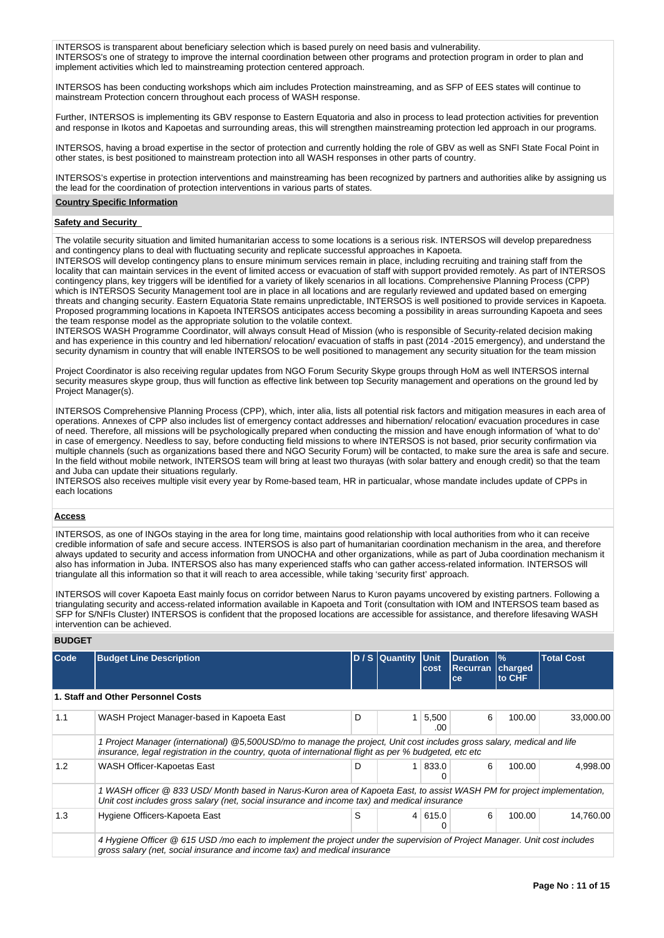INTERSOS is transparent about beneficiary selection which is based purely on need basis and vulnerability. INTERSOS's one of strategy to improve the internal coordination between other programs and protection program in order to plan and implement activities which led to mainstreaming protection centered approach.

INTERSOS has been conducting workshops which aim includes Protection mainstreaming, and as SFP of EES states will continue to mainstream Protection concern throughout each process of WASH response.

Further, INTERSOS is implementing its GBV response to Eastern Equatoria and also in process to lead protection activities for prevention and response in Ikotos and Kapoetas and surrounding areas, this will strengthen mainstreaming protection led approach in our programs.

INTERSOS, having a broad expertise in the sector of protection and currently holding the role of GBV as well as SNFI State Focal Point in other states, is best positioned to mainstream protection into all WASH responses in other parts of country.

INTERSOS's expertise in protection interventions and mainstreaming has been recognized by partners and authorities alike by assigning us the lead for the coordination of protection interventions in various parts of states.

#### **Country Specific Information**

#### **Safety and Security**

The volatile security situation and limited humanitarian access to some locations is a serious risk. INTERSOS will develop preparedness and contingency plans to deal with fluctuating security and replicate successful approaches in Kapoeta.

INTERSOS will develop contingency plans to ensure minimum services remain in place, including recruiting and training staff from the locality that can maintain services in the event of limited access or evacuation of staff with support provided remotely. As part of INTERSOS contingency plans, key triggers will be identified for a variety of likely scenarios in all locations. Comprehensive Planning Process (CPP) which is INTERSOS Security Management tool are in place in all locations and are regularly reviewed and updated based on emerging threats and changing security. Eastern Equatoria State remains unpredictable, INTERSOS is well positioned to provide services in Kapoeta. Proposed programming locations in Kapoeta INTERSOS anticipates access becoming a possibility in areas surrounding Kapoeta and sees the team response model as the appropriate solution to the volatile context.

INTERSOS WASH Programme Coordinator, will always consult Head of Mission (who is responsible of Security-related decision making and has experience in this country and led hibernation/ relocation/ evacuation of staffs in past (2014 -2015 emergency), and understand the security dynamism in country that will enable INTERSOS to be well positioned to management any security situation for the team mission

Project Coordinator is also receiving regular updates from NGO Forum Security Skype groups through HoM as well INTERSOS internal security measures skype group, thus will function as effective link between top Security management and operations on the ground led by Project Manager(s).

INTERSOS Comprehensive Planning Process (CPP), which, inter alia, lists all potential risk factors and mitigation measures in each area of operations. Annexes of CPP also includes list of emergency contact addresses and hibernation/ relocation/ evacuation procedures in case of need. Therefore, all missions will be psychologically prepared when conducting the mission and have enough information of 'what to do' in case of emergency. Needless to say, before conducting field missions to where INTERSOS is not based, prior security confirmation via multiple channels (such as organizations based there and NGO Security Forum) will be contacted, to make sure the area is safe and secure. In the field without mobile network, INTERSOS team will bring at least two thurayas (with solar battery and enough credit) so that the team and Juba can update their situations regularly.

INTERSOS also receives multiple visit every year by Rome-based team, HR in particualar, whose mandate includes update of CPPs in each locations

### **Access**

INTERSOS, as one of INGOs staying in the area for long time, maintains good relationship with local authorities from who it can receive credible information of safe and secure access. INTERSOS is also part of humanitarian coordination mechanism in the area, and therefore always updated to security and access information from UNOCHA and other organizations, while as part of Juba coordination mechanism it also has information in Juba. INTERSOS also has many experienced staffs who can gather access-related information. INTERSOS will triangulate all this information so that it will reach to area accessible, while taking 'security first' approach.

INTERSOS will cover Kapoeta East mainly focus on corridor between Narus to Kuron payams uncovered by existing partners. Following a triangulating security and access-related information available in Kapoeta and Torit (consultation with IOM and INTERSOS team based as SFP for S/NFIs Cluster) INTERSOS is confident that the proposed locations are accessible for assistance, and therefore lifesaving WASH intervention can be achieved.

| <b>Code</b> | <b>Budget Line Description</b>                                                                                                                                                                                                    |   | D / S Quantity | <b>Unit</b><br>cost | <b>Duration</b><br><b>Recurran</b><br>ce | $\frac{9}{6}$<br>charged<br>to CHF | <b>Total Cost</b> |  |  |  |
|-------------|-----------------------------------------------------------------------------------------------------------------------------------------------------------------------------------------------------------------------------------|---|----------------|---------------------|------------------------------------------|------------------------------------|-------------------|--|--|--|
|             | 1. Staff and Other Personnel Costs                                                                                                                                                                                                |   |                |                     |                                          |                                    |                   |  |  |  |
| 1.1         | WASH Project Manager-based in Kapoeta East                                                                                                                                                                                        | D |                | 5,500<br>.00        | 6                                        | 100.00                             | 33.000.00         |  |  |  |
|             | 1 Project Manager (international) @5,500USD/mo to manage the project, Unit cost includes gross salary, medical and life<br>insurance, legal registration in the country, quota of international flight as per % budgeted, etc etc |   |                |                     |                                          |                                    |                   |  |  |  |
| 1.2         | WASH Officer-Kapoetas East                                                                                                                                                                                                        | D | $\mathbf{1}$   | 833.0<br>0          | 6                                        | 100.00                             | 4,998.00          |  |  |  |
|             | 1 WASH officer @ 833 USD/ Month based in Narus-Kuron area of Kapoeta East, to assist WASH PM for project implementation,<br>Unit cost includes gross salary (net, social insurance and income tax) and medical insurance          |   |                |                     |                                          |                                    |                   |  |  |  |
| 1.3         | Hygiene Officers-Kapoeta East                                                                                                                                                                                                     | S |                | 4 615.0 <br>0       | 6                                        | 100.00                             | 14,760.00         |  |  |  |
|             | 4 Hygiene Officer @ 615 USD/mo each to implement the project under the supervision of Project Manager. Unit cost includes<br>gross salary (net, social insurance and income tax) and medical insurance                            |   |                |                     |                                          |                                    |                   |  |  |  |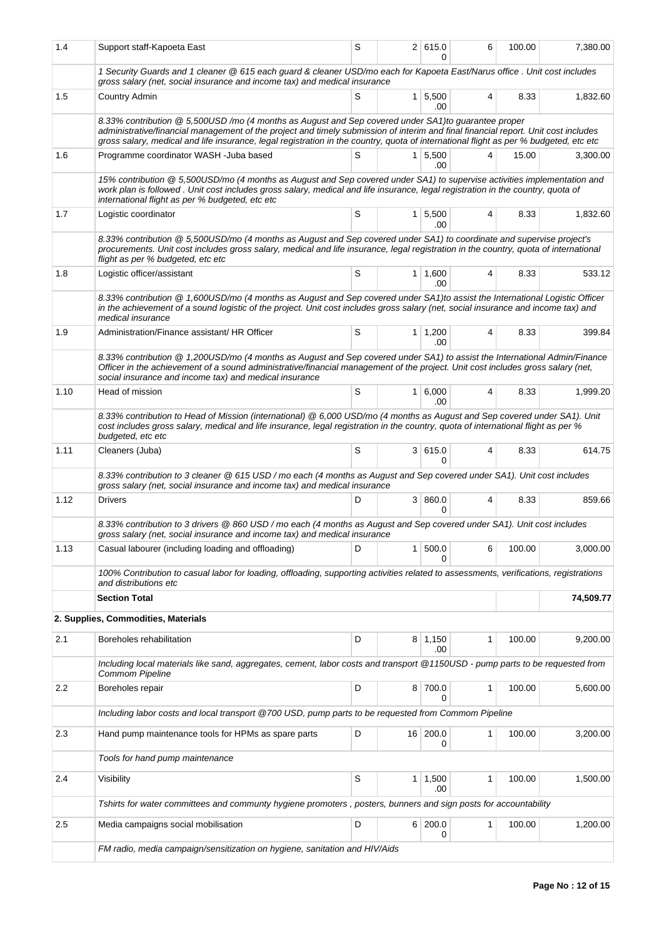| 1.4  | Support staff-Kapoeta East                                                                                                                                                                                                                                                                                                                                                         | S                                                                                                                                                                                                   |                | 2 615.0<br>0          | 6            | 100.00 | 7,380.00 |  |  |  |  |
|------|------------------------------------------------------------------------------------------------------------------------------------------------------------------------------------------------------------------------------------------------------------------------------------------------------------------------------------------------------------------------------------|-----------------------------------------------------------------------------------------------------------------------------------------------------------------------------------------------------|----------------|-----------------------|--------------|--------|----------|--|--|--|--|
|      | 1 Security Guards and 1 cleaner @ 615 each guard & cleaner USD/mo each for Kapoeta East/Narus office . Unit cost includes<br>gross salary (net, social insurance and income tax) and medical insurance                                                                                                                                                                             |                                                                                                                                                                                                     |                |                       |              |        |          |  |  |  |  |
| 1.5  | Country Admin                                                                                                                                                                                                                                                                                                                                                                      | S                                                                                                                                                                                                   | 1 <sup>1</sup> | 5,500<br>.00          | 4            | 8.33   | 1,832.60 |  |  |  |  |
|      | 8.33% contribution @ 5,500USD /mo (4 months as August and Sep covered under SA1)to guarantee proper<br>administrative/financial management of the project and timely submission of interim and final financial report. Unit cost includes<br>gross salary, medical and life insurance, legal registration in the country, quota of international flight as per % budgeted, etc etc |                                                                                                                                                                                                     |                |                       |              |        |          |  |  |  |  |
| 1.6  | Programme coordinator WASH - Juba based                                                                                                                                                                                                                                                                                                                                            | S                                                                                                                                                                                                   |                | $1 \mid 5,500$<br>.00 | 4            | 15.00  | 3,300.00 |  |  |  |  |
|      | 15% contribution @ 5,500USD/mo (4 months as August and Sep covered under SA1) to supervise activities implementation and<br>work plan is followed. Unit cost includes gross salary, medical and life insurance, legal registration in the country, quota of<br>international flight as per % budgeted, etc etc                                                                     |                                                                                                                                                                                                     |                |                       |              |        |          |  |  |  |  |
| 1.7  | Logistic coordinator                                                                                                                                                                                                                                                                                                                                                               | S                                                                                                                                                                                                   |                | $1 \mid 5,500$<br>.00 | 4            | 8.33   | 1,832.60 |  |  |  |  |
|      | 8.33% contribution @ 5,500USD/mo (4 months as August and Sep covered under SA1) to coordinate and supervise project's<br>procurements. Unit cost includes gross salary, medical and life insurance, legal registration in the country, quota of international<br>flight as per % budgeted, etc etc                                                                                 |                                                                                                                                                                                                     |                |                       |              |        |          |  |  |  |  |
| 1.8  | Logistic officer/assistant                                                                                                                                                                                                                                                                                                                                                         | S                                                                                                                                                                                                   |                | $1 \mid 1,600$<br>.00 | 4            | 8.33   | 533.12   |  |  |  |  |
|      | 8.33% contribution @ 1,600USD/mo (4 months as August and Sep covered under SA1)to assist the International Logistic Officer<br>in the achievement of a sound logistic of the project. Unit cost includes gross salary (net, social insurance and income tax) and<br>medical insurance                                                                                              |                                                                                                                                                                                                     |                |                       |              |        |          |  |  |  |  |
| 1.9  | Administration/Finance assistant/ HR Officer                                                                                                                                                                                                                                                                                                                                       | S                                                                                                                                                                                                   |                | $1 \mid 1,200$<br>.00 | 4            | 8.33   | 399.84   |  |  |  |  |
|      | 8.33% contribution @ 1,200USD/mo (4 months as August and Sep covered under SA1) to assist the International Admin/Finance<br>Officer in the achievement of a sound administrative/financial management of the project. Unit cost includes gross salary (net,<br>social insurance and income tax) and medical insurance                                                             |                                                                                                                                                                                                     |                |                       |              |        |          |  |  |  |  |
| 1.10 | Head of mission                                                                                                                                                                                                                                                                                                                                                                    | S                                                                                                                                                                                                   |                | 1   6,000<br>.00      | 4            | 8.33   | 1,999.20 |  |  |  |  |
|      | 8.33% contribution to Head of Mission (international) @ 6,000 USD/mo (4 months as August and Sep covered under SA1). Unit<br>cost includes gross salary, medical and life insurance, legal registration in the country, quota of international flight as per %<br>budgeted, etc etc                                                                                                |                                                                                                                                                                                                     |                |                       |              |        |          |  |  |  |  |
| 1.11 | Cleaners (Juba)                                                                                                                                                                                                                                                                                                                                                                    | S                                                                                                                                                                                                   |                | 3 615.0<br>0          | 4            | 8.33   | 614.75   |  |  |  |  |
|      | 8.33% contribution to 3 cleaner @ 615 USD / mo each (4 months as August and Sep covered under SA1). Unit cost includes<br>gross salary (net, social insurance and income tax) and medical insurance                                                                                                                                                                                |                                                                                                                                                                                                     |                |                       |              |        |          |  |  |  |  |
| 1.12 | <b>Drivers</b>                                                                                                                                                                                                                                                                                                                                                                     | D                                                                                                                                                                                                   |                | 3   860.0<br>0        | 4            | 8.33   | 859.66   |  |  |  |  |
|      |                                                                                                                                                                                                                                                                                                                                                                                    | 8.33% contribution to 3 drivers @ 860 USD / mo each (4 months as August and Sep covered under SA1). Unit cost includes<br>gross salary (net, social insurance and income tax) and medical insurance |                |                       |              |        |          |  |  |  |  |
| 1.13 | Casual labourer (including loading and offloading)                                                                                                                                                                                                                                                                                                                                 | D                                                                                                                                                                                                   | 1              | 500.0<br>U            | 6            | 100.00 | 3,000.00 |  |  |  |  |
|      | 100% Contribution to casual labor for loading, offloading, supporting activities related to assessments, verifications, registrations<br>and distributions etc                                                                                                                                                                                                                     |                                                                                                                                                                                                     |                |                       |              |        |          |  |  |  |  |
|      | <b>Section Total</b>                                                                                                                                                                                                                                                                                                                                                               |                                                                                                                                                                                                     |                | 74,509.77             |              |        |          |  |  |  |  |
|      | 2. Supplies, Commodities, Materials                                                                                                                                                                                                                                                                                                                                                |                                                                                                                                                                                                     |                |                       |              |        |          |  |  |  |  |
| 2.1  | Boreholes rehabilitation                                                                                                                                                                                                                                                                                                                                                           | D                                                                                                                                                                                                   |                | $8 \mid 1,150$<br>.00 | $\mathbf{1}$ | 100.00 | 9,200.00 |  |  |  |  |
|      | Including local materials like sand, aggregates, cement, labor costs and transport @1150USD - pump parts to be requested from<br><b>Commom Pipeline</b>                                                                                                                                                                                                                            |                                                                                                                                                                                                     |                |                       |              |        |          |  |  |  |  |
| 2.2  | Boreholes repair                                                                                                                                                                                                                                                                                                                                                                   | D                                                                                                                                                                                                   |                | 8 700.0<br>0          | 1            | 100.00 | 5,600.00 |  |  |  |  |
|      | Including labor costs and local transport @700 USD, pump parts to be requested from Commom Pipeline                                                                                                                                                                                                                                                                                |                                                                                                                                                                                                     |                |                       |              |        |          |  |  |  |  |
| 2.3  | Hand pump maintenance tools for HPMs as spare parts                                                                                                                                                                                                                                                                                                                                | D                                                                                                                                                                                                   |                | 16 200.0<br>0         | 1            | 100.00 | 3,200.00 |  |  |  |  |
|      | Tools for hand pump maintenance                                                                                                                                                                                                                                                                                                                                                    |                                                                                                                                                                                                     |                |                       |              |        |          |  |  |  |  |
| 2.4  | Visibility                                                                                                                                                                                                                                                                                                                                                                         | S                                                                                                                                                                                                   | $\mathbf{1}$   | 1,500<br>.00          | 1            | 100.00 | 1,500.00 |  |  |  |  |
|      | Tshirts for water committees and communty hygiene promoters, posters, bunners and sign posts for accountability                                                                                                                                                                                                                                                                    |                                                                                                                                                                                                     |                |                       |              |        |          |  |  |  |  |
| 2.5  | Media campaigns social mobilisation                                                                                                                                                                                                                                                                                                                                                | D                                                                                                                                                                                                   | 6 <sup>1</sup> | 200.0<br>0            | 1            | 100.00 | 1,200.00 |  |  |  |  |
|      | FM radio, media campaign/sensitization on hygiene, sanitation and HIV/Aids                                                                                                                                                                                                                                                                                                         |                                                                                                                                                                                                     |                |                       |              |        |          |  |  |  |  |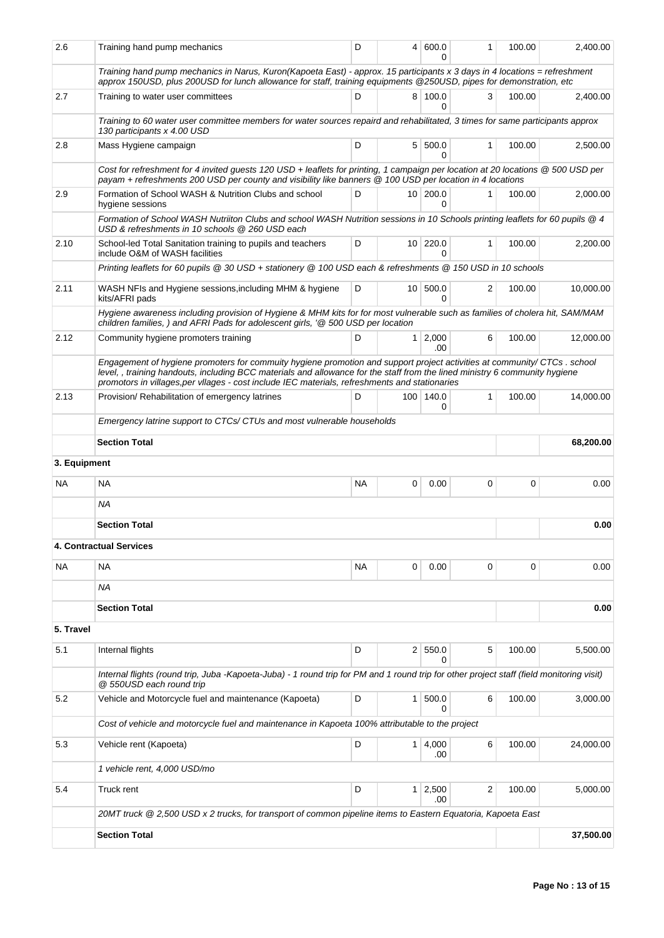| 2.6          | Training hand pump mechanics                                                                                                                                                                                                                                                                                                                             | D                                                  | 4               | 600.0<br>n           | 1            | 100.00 | 2,400.00  |  |  |  |  |
|--------------|----------------------------------------------------------------------------------------------------------------------------------------------------------------------------------------------------------------------------------------------------------------------------------------------------------------------------------------------------------|----------------------------------------------------|-----------------|----------------------|--------------|--------|-----------|--|--|--|--|
|              | Training hand pump mechanics in Narus, Kuron(Kapoeta East) - approx. 15 participants x 3 days in 4 locations = refreshment<br>approx 150USD, plus 200USD for lunch allowance for staff, training equipments @250USD, pipes for demonstration, etc                                                                                                        |                                                    |                 |                      |              |        |           |  |  |  |  |
| 2.7          | Training to water user committees                                                                                                                                                                                                                                                                                                                        | D                                                  |                 | 8 100.0<br>0         | 3            | 100.00 | 2,400.00  |  |  |  |  |
|              | Training to 60 water user committee members for water sources repaird and rehabilitated, 3 times for same participants approx<br>130 participants x 4.00 USD                                                                                                                                                                                             |                                                    |                 |                      |              |        |           |  |  |  |  |
| 2.8          | Mass Hygiene campaign                                                                                                                                                                                                                                                                                                                                    | D                                                  |                 | 5 500.0<br>$\Omega$  | 1            | 100.00 | 2,500.00  |  |  |  |  |
|              | Cost for refreshment for 4 invited guests 120 USD + leaflets for printing, 1 campaign per location at 20 locations @ 500 USD per<br>payam + refreshments 200 USD per county and visibility like banners @ 100 USD per location in 4 locations                                                                                                            |                                                    |                 |                      |              |        |           |  |  |  |  |
| 2.9          | Formation of School WASH & Nutrition Clubs and school<br>hygiene sessions                                                                                                                                                                                                                                                                                | D                                                  |                 | 10 200.0<br>$\Omega$ | 1            | 100.00 | 2,000.00  |  |  |  |  |
|              | Formation of School WASH Nutriiton Clubs and school WASH Nutrition sessions in 10 Schools printing leaflets for 60 pupils @ 4<br>USD & refreshments in 10 schools @ 260 USD each                                                                                                                                                                         |                                                    |                 |                      |              |        |           |  |  |  |  |
| 2.10         | School-led Total Sanitation training to pupils and teachers<br>include O&M of WASH facilities                                                                                                                                                                                                                                                            | 220.0<br>D<br>10 <sup>1</sup><br>$\mathbf{1}$<br>0 |                 |                      |              |        |           |  |  |  |  |
|              | Printing leaflets for 60 pupils @ 30 USD + stationery @ 100 USD each & refreshments @ 150 USD in 10 schools                                                                                                                                                                                                                                              |                                                    |                 |                      |              |        |           |  |  |  |  |
| 2.11         | WASH NFIs and Hygiene sessions, including MHM & hygiene<br>kits/AFRI pads                                                                                                                                                                                                                                                                                | D                                                  | 10 <sup>1</sup> | 500.0<br>$\Omega$    | 2            | 100.00 | 10,000.00 |  |  |  |  |
|              | Hygiene awareness including provision of Hygiene & MHM kits for for most vulnerable such as families of cholera hit, SAM/MAM<br>children families, ) and AFRI Pads for adolescent girls, '@ 500 USD per location                                                                                                                                         |                                                    |                 |                      |              |        |           |  |  |  |  |
| 2.12         | Community hygiene promoters training                                                                                                                                                                                                                                                                                                                     | D                                                  | 1 <sup>1</sup>  | 2,000<br>.00         | 6            | 100.00 | 12,000.00 |  |  |  |  |
|              | Engagement of hygiene promoters for commuity hygiene promotion and support project activities at community/ CTCs. school<br>level,, training handouts, including BCC materials and allowance for the staff from the lined ministry 6 community hygiene<br>promotors in villages, per vllages - cost include IEC materials, refreshments and stationaries |                                                    |                 |                      |              |        |           |  |  |  |  |
| 2.13         | Provision/ Rehabilitation of emergency latrines                                                                                                                                                                                                                                                                                                          | D                                                  |                 | 100 140.0<br>0       | $\mathbf{1}$ | 100.00 | 14,000.00 |  |  |  |  |
|              |                                                                                                                                                                                                                                                                                                                                                          |                                                    |                 |                      |              |        |           |  |  |  |  |
|              | <b>Section Total</b>                                                                                                                                                                                                                                                                                                                                     |                                                    |                 |                      |              |        | 68,200.00 |  |  |  |  |
| 3. Equipment |                                                                                                                                                                                                                                                                                                                                                          |                                                    |                 |                      |              |        |           |  |  |  |  |
| NA.          | <b>NA</b>                                                                                                                                                                                                                                                                                                                                                | <b>NA</b>                                          | 0               | 0.00                 | 0            | 0      | 0.00      |  |  |  |  |
|              | NA                                                                                                                                                                                                                                                                                                                                                       |                                                    |                 |                      |              |        |           |  |  |  |  |
|              | <b>Section Total</b>                                                                                                                                                                                                                                                                                                                                     |                                                    |                 |                      |              |        | 0.00      |  |  |  |  |
|              | <b>4. Contractual Services</b>                                                                                                                                                                                                                                                                                                                           |                                                    |                 |                      |              |        |           |  |  |  |  |
| NA           | <b>NA</b>                                                                                                                                                                                                                                                                                                                                                | <b>NA</b>                                          | 0               | 0.00                 | 0            | 0      | 0.00      |  |  |  |  |
|              | ΝA                                                                                                                                                                                                                                                                                                                                                       |                                                    |                 |                      |              |        |           |  |  |  |  |
|              | <b>Section Total</b>                                                                                                                                                                                                                                                                                                                                     |                                                    |                 |                      |              |        | 0.00      |  |  |  |  |
| 5. Travel    |                                                                                                                                                                                                                                                                                                                                                          |                                                    |                 |                      |              |        |           |  |  |  |  |
| 5.1          | Internal flights                                                                                                                                                                                                                                                                                                                                         | D                                                  |                 | 2 550.0<br>0         | 5            | 100.00 | 5,500.00  |  |  |  |  |
|              | Internal flights (round trip, Juba -Kapoeta-Juba) - 1 round trip for PM and 1 round trip for other project staff (field monitoring visit)<br>@ 550USD each round trip                                                                                                                                                                                    |                                                    |                 |                      |              |        |           |  |  |  |  |
| 5.2          | Vehicle and Motorcycle fuel and maintenance (Kapoeta)                                                                                                                                                                                                                                                                                                    | D                                                  | 1 <sup>1</sup>  | 500.0<br>0           | 6            | 100.00 | 3,000.00  |  |  |  |  |
|              | Cost of vehicle and motorcycle fuel and maintenance in Kapoeta 100% attributable to the project                                                                                                                                                                                                                                                          |                                                    |                 |                      |              |        |           |  |  |  |  |
| 5.3          | Vehicle rent (Kapoeta)                                                                                                                                                                                                                                                                                                                                   | D                                                  | 1 <sup>1</sup>  | 4,000<br>.00         | 6            | 100.00 | 24,000.00 |  |  |  |  |
|              | 1 vehicle rent, 4,000 USD/mo                                                                                                                                                                                                                                                                                                                             |                                                    |                 |                      |              |        |           |  |  |  |  |
| 5.4          | Truck rent                                                                                                                                                                                                                                                                                                                                               | D                                                  | 1 <sup>1</sup>  | 2,500<br>.00         | 2            | 100.00 | 5,000.00  |  |  |  |  |
|              | 20MT truck @ 2,500 USD x 2 trucks, for transport of common pipeline items to Eastern Equatoria, Kapoeta East                                                                                                                                                                                                                                             |                                                    |                 |                      |              |        |           |  |  |  |  |
|              | <b>Section Total</b>                                                                                                                                                                                                                                                                                                                                     |                                                    |                 |                      |              |        | 37,500.00 |  |  |  |  |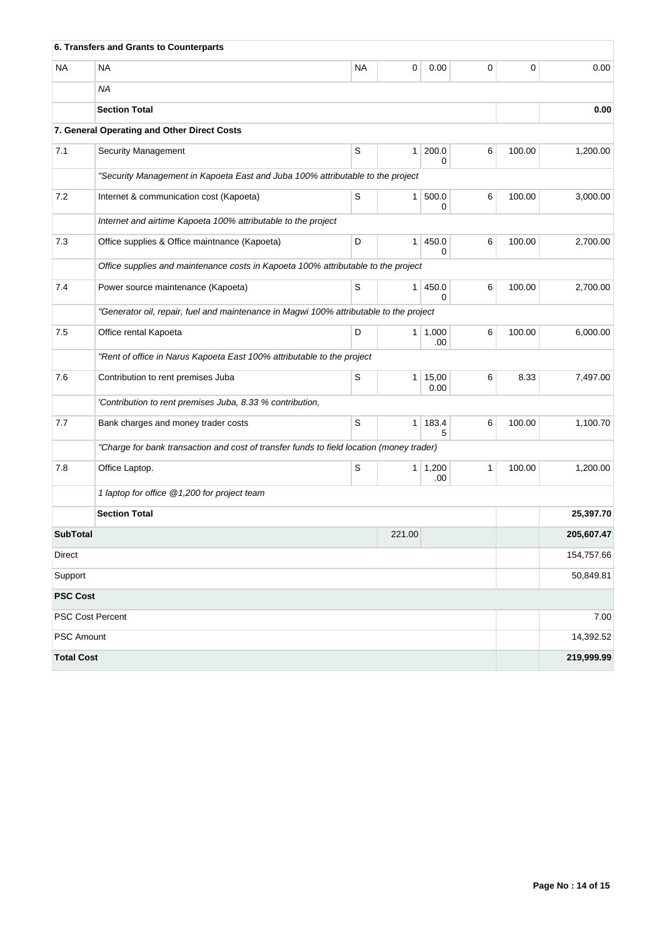|                   | 6. Transfers and Grants to Counterparts                                                  |    |                |                       |   |        |            |  |  |  |
|-------------------|------------------------------------------------------------------------------------------|----|----------------|-----------------------|---|--------|------------|--|--|--|
| NA                | <b>NA</b>                                                                                | NA | 0              | 0.00                  | 0 | 0      | 0.00       |  |  |  |
|                   | ΝA                                                                                       |    |                |                       |   |        |            |  |  |  |
|                   | <b>Section Total</b>                                                                     |    |                |                       |   |        | 0.00       |  |  |  |
|                   | 7. General Operating and Other Direct Costs                                              |    |                |                       |   |        |            |  |  |  |
| 7.1               | <b>Security Management</b>                                                               | S  | 1 <sup>1</sup> | 200.0<br>$\Omega$     | 6 | 100.00 | 1,200.00   |  |  |  |
|                   | "Security Management in Kapoeta East and Juba 100% attributable to the project           |    |                |                       |   |        |            |  |  |  |
| 7.2               | Internet & communication cost (Kapoeta)                                                  | S  |                | 1   500.0<br>0        | 6 | 100.00 | 3,000.00   |  |  |  |
|                   | Internet and airtime Kapoeta 100% attributable to the project                            |    |                |                       |   |        |            |  |  |  |
| 7.3               | Office supplies & Office maintnance (Kapoeta)                                            | D  | $\mathbf{1}$   | 450.0<br>$\Omega$     | 6 | 100.00 | 2,700.00   |  |  |  |
|                   | Office supplies and maintenance costs in Kapoeta 100% attributable to the project        |    |                |                       |   |        |            |  |  |  |
| 7.4               | Power source maintenance (Kapoeta)                                                       | S  | 1 <sup>1</sup> | 450.0<br>0            | 6 | 100.00 | 2,700.00   |  |  |  |
|                   | "Generator oil, repair, fuel and maintenance in Magwi 100% attributable to the project   |    |                |                       |   |        |            |  |  |  |
| 7.5               | Office rental Kapoeta                                                                    | D  |                | $1 \mid 1,000$<br>.00 | 6 | 100.00 | 6,000.00   |  |  |  |
|                   | "Rent of office in Narus Kapoeta East 100% attributable to the project                   |    |                |                       |   |        |            |  |  |  |
| 7.6               | Contribution to rent premises Juba                                                       | S  | 1 <sup>1</sup> | 15,00<br>0.00         | 6 | 8.33   | 7,497.00   |  |  |  |
|                   | 'Contribution to rent premises Juba, 8.33 % contribution,                                |    |                |                       |   |        |            |  |  |  |
| 7.7               | Bank charges and money trader costs                                                      | S  |                | $1 \mid 183.4$<br>5   | 6 | 100.00 | 1,100.70   |  |  |  |
|                   | "Charge for bank transaction and cost of transfer funds to field location (money trader) |    |                |                       |   |        |            |  |  |  |
| 7.8               | Office Laptop.                                                                           | S  |                | $1 \mid 1,200$<br>.00 | 1 | 100.00 | 1,200.00   |  |  |  |
|                   | 1 laptop for office @ 1,200 for project team                                             |    |                |                       |   |        |            |  |  |  |
|                   | <b>Section Total</b>                                                                     |    |                |                       |   |        | 25,397.70  |  |  |  |
| <b>SubTotal</b>   |                                                                                          |    | 221.00         |                       |   |        | 205,607.47 |  |  |  |
| Direct            |                                                                                          |    |                |                       |   |        | 154,757.66 |  |  |  |
| Support           |                                                                                          |    |                |                       |   |        | 50,849.81  |  |  |  |
| <b>PSC Cost</b>   |                                                                                          |    |                |                       |   |        |            |  |  |  |
| PSC Cost Percent  |                                                                                          |    |                |                       |   |        | 7.00       |  |  |  |
| <b>PSC Amount</b> |                                                                                          |    |                |                       |   |        | 14,392.52  |  |  |  |
| <b>Total Cost</b> |                                                                                          |    |                |                       |   |        | 219,999.99 |  |  |  |